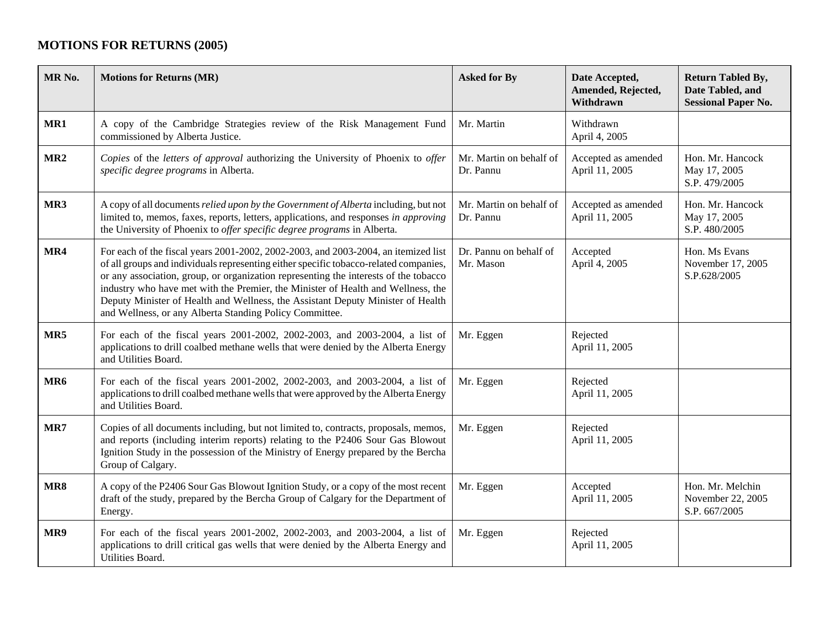## **MOTIONS FOR RETURNS (2005)**

| MR <sub>No.</sub> | <b>Motions for Returns (MR)</b>                                                                                                                                                                                                                                                                                                                                                                                                                                                                       | <b>Asked for By</b>                  | Date Accepted,<br>Amended, Rejected,<br>Withdrawn | <b>Return Tabled By,</b><br>Date Tabled, and<br><b>Sessional Paper No.</b> |
|-------------------|-------------------------------------------------------------------------------------------------------------------------------------------------------------------------------------------------------------------------------------------------------------------------------------------------------------------------------------------------------------------------------------------------------------------------------------------------------------------------------------------------------|--------------------------------------|---------------------------------------------------|----------------------------------------------------------------------------|
| MR1               | A copy of the Cambridge Strategies review of the Risk Management Fund<br>commissioned by Alberta Justice.                                                                                                                                                                                                                                                                                                                                                                                             | Mr. Martin                           | Withdrawn<br>April 4, 2005                        |                                                                            |
| MR <sub>2</sub>   | Copies of the letters of approval authorizing the University of Phoenix to offer<br>specific degree programs in Alberta.                                                                                                                                                                                                                                                                                                                                                                              | Mr. Martin on behalf of<br>Dr. Pannu | Accepted as amended<br>April 11, 2005             | Hon. Mr. Hancock<br>May 17, 2005<br>S.P. 479/2005                          |
| MR3               | A copy of all documents relied upon by the Government of Alberta including, but not<br>limited to, memos, faxes, reports, letters, applications, and responses in approving<br>the University of Phoenix to offer specific degree programs in Alberta.                                                                                                                                                                                                                                                | Mr. Martin on behalf of<br>Dr. Pannu | Accepted as amended<br>April 11, 2005             | Hon. Mr. Hancock<br>May 17, 2005<br>S.P. 480/2005                          |
| MR4               | For each of the fiscal years 2001-2002, 2002-2003, and 2003-2004, an itemized list<br>of all groups and individuals representing either specific tobacco-related companies,<br>or any association, group, or organization representing the interests of the tobacco<br>industry who have met with the Premier, the Minister of Health and Wellness, the<br>Deputy Minister of Health and Wellness, the Assistant Deputy Minister of Health<br>and Wellness, or any Alberta Standing Policy Committee. | Dr. Pannu on behalf of<br>Mr. Mason  | Accepted<br>April 4, 2005                         | Hon. Ms Evans<br>November 17, 2005<br>S.P.628/2005                         |
| MR5               | For each of the fiscal years 2001-2002, 2002-2003, and 2003-2004, a list of<br>applications to drill coalbed methane wells that were denied by the Alberta Energy<br>and Utilities Board.                                                                                                                                                                                                                                                                                                             | Mr. Eggen                            | Rejected<br>April 11, 2005                        |                                                                            |
| MR <sub>6</sub>   | For each of the fiscal years 2001-2002, 2002-2003, and 2003-2004, a list of<br>applications to drill coalbed methane wells that were approved by the Alberta Energy<br>and Utilities Board.                                                                                                                                                                                                                                                                                                           | Mr. Eggen                            | Rejected<br>April 11, 2005                        |                                                                            |
| MR7               | Copies of all documents including, but not limited to, contracts, proposals, memos,<br>and reports (including interim reports) relating to the P2406 Sour Gas Blowout<br>Ignition Study in the possession of the Ministry of Energy prepared by the Bercha<br>Group of Calgary.                                                                                                                                                                                                                       | Mr. Eggen                            | Rejected<br>April 11, 2005                        |                                                                            |
| MR8               | A copy of the P2406 Sour Gas Blowout Ignition Study, or a copy of the most recent<br>draft of the study, prepared by the Bercha Group of Calgary for the Department of<br>Energy.                                                                                                                                                                                                                                                                                                                     | Mr. Eggen                            | Accepted<br>April 11, 2005                        | Hon. Mr. Melchin<br>November 22, 2005<br>S.P. 667/2005                     |
| MR9               | For each of the fiscal years 2001-2002, 2002-2003, and 2003-2004, a list of<br>applications to drill critical gas wells that were denied by the Alberta Energy and<br>Utilities Board.                                                                                                                                                                                                                                                                                                                | Mr. Eggen                            | Rejected<br>April 11, 2005                        |                                                                            |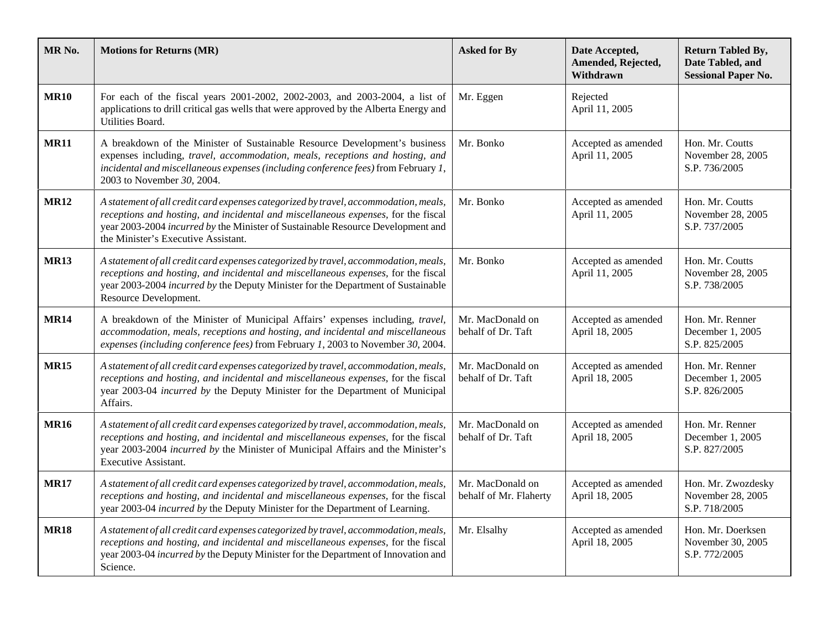| MR No.      | <b>Motions for Returns (MR)</b>                                                                                                                                                                                                                                                                     | <b>Asked for By</b>                        | Date Accepted,<br>Amended, Rejected,<br>Withdrawn | <b>Return Tabled By,</b><br>Date Tabled, and<br><b>Sessional Paper No.</b> |
|-------------|-----------------------------------------------------------------------------------------------------------------------------------------------------------------------------------------------------------------------------------------------------------------------------------------------------|--------------------------------------------|---------------------------------------------------|----------------------------------------------------------------------------|
| <b>MR10</b> | For each of the fiscal years 2001-2002, 2002-2003, and 2003-2004, a list of<br>applications to drill critical gas wells that were approved by the Alberta Energy and<br>Utilities Board.                                                                                                            | Mr. Eggen                                  | Rejected<br>April 11, 2005                        |                                                                            |
| <b>MR11</b> | A breakdown of the Minister of Sustainable Resource Development's business<br>expenses including, travel, accommodation, meals, receptions and hosting, and<br>incidental and miscellaneous expenses (including conference fees) from February 1,<br>2003 to November 30, 2004.                     | Mr. Bonko                                  | Accepted as amended<br>April 11, 2005             | Hon. Mr. Coutts<br>November 28, 2005<br>S.P. 736/2005                      |
| <b>MR12</b> | A statement of all credit card expenses categorized by travel, accommodation, meals,<br>receptions and hosting, and incidental and miscellaneous expenses, for the fiscal<br>year 2003-2004 incurred by the Minister of Sustainable Resource Development and<br>the Minister's Executive Assistant. | Mr. Bonko                                  | Accepted as amended<br>April 11, 2005             | Hon. Mr. Coutts<br>November 28, 2005<br>S.P. 737/2005                      |
| <b>MR13</b> | A statement of all credit card expenses categorized by travel, accommodation, meals,<br>receptions and hosting, and incidental and miscellaneous expenses, for the fiscal<br>year 2003-2004 incurred by the Deputy Minister for the Department of Sustainable<br>Resource Development.              | Mr. Bonko                                  | Accepted as amended<br>April 11, 2005             | Hon. Mr. Coutts<br>November 28, 2005<br>S.P. 738/2005                      |
| <b>MR14</b> | A breakdown of the Minister of Municipal Affairs' expenses including, travel,<br>accommodation, meals, receptions and hosting, and incidental and miscellaneous<br>expenses (including conference fees) from February 1, 2003 to November 30, 2004.                                                 | Mr. MacDonald on<br>behalf of Dr. Taft     | Accepted as amended<br>April 18, 2005             | Hon. Mr. Renner<br>December 1, 2005<br>S.P. 825/2005                       |
| <b>MR15</b> | A statement of all credit card expenses categorized by travel, accommodation, meals,<br>receptions and hosting, and incidental and miscellaneous expenses, for the fiscal<br>year 2003-04 <i>incurred by</i> the Deputy Minister for the Department of Municipal<br>Affairs.                        | Mr. MacDonald on<br>behalf of Dr. Taft     | Accepted as amended<br>April 18, 2005             | Hon. Mr. Renner<br>December 1, 2005<br>S.P. 826/2005                       |
| <b>MR16</b> | A statement of all credit card expenses categorized by travel, accommodation, meals,<br>receptions and hosting, and incidental and miscellaneous expenses, for the fiscal<br>year 2003-2004 incurred by the Minister of Municipal Affairs and the Minister's<br><b>Executive Assistant.</b>         | Mr. MacDonald on<br>behalf of Dr. Taft     | Accepted as amended<br>April 18, 2005             | Hon. Mr. Renner<br>December 1, 2005<br>S.P. 827/2005                       |
| <b>MR17</b> | A statement of all credit card expenses categorized by travel, accommodation, meals,<br>receptions and hosting, and incidental and miscellaneous expenses, for the fiscal<br>year 2003-04 incurred by the Deputy Minister for the Department of Learning.                                           | Mr. MacDonald on<br>behalf of Mr. Flaherty | Accepted as amended<br>April 18, 2005             | Hon. Mr. Zwozdesky<br>November 28, 2005<br>S.P. 718/2005                   |
| <b>MR18</b> | A statement of all credit card expenses categorized by travel, accommodation, meals,<br>receptions and hosting, and incidental and miscellaneous expenses, for the fiscal<br>year 2003-04 incurred by the Deputy Minister for the Department of Innovation and<br>Science.                          | Mr. Elsalhy                                | Accepted as amended<br>April 18, 2005             | Hon. Mr. Doerksen<br>November 30, 2005<br>S.P. 772/2005                    |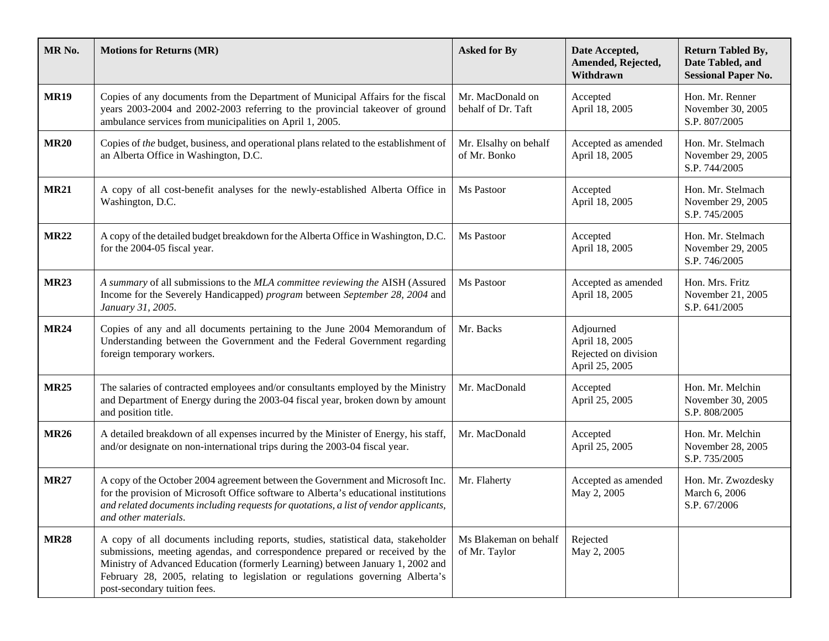| MR No.      | <b>Motions for Returns (MR)</b>                                                                                                                                                                                                                                                                                                                                      | <b>Asked for By</b>                    | Date Accepted,<br>Amended, Rejected,<br>Withdrawn                     | <b>Return Tabled By,</b><br>Date Tabled, and<br><b>Sessional Paper No.</b> |
|-------------|----------------------------------------------------------------------------------------------------------------------------------------------------------------------------------------------------------------------------------------------------------------------------------------------------------------------------------------------------------------------|----------------------------------------|-----------------------------------------------------------------------|----------------------------------------------------------------------------|
| <b>MR19</b> | Copies of any documents from the Department of Municipal Affairs for the fiscal<br>years 2003-2004 and 2002-2003 referring to the provincial takeover of ground<br>ambulance services from municipalities on April 1, 2005.                                                                                                                                          | Mr. MacDonald on<br>behalf of Dr. Taft | Accepted<br>April 18, 2005                                            | Hon. Mr. Renner<br>November 30, 2005<br>S.P. 807/2005                      |
| <b>MR20</b> | Copies of the budget, business, and operational plans related to the establishment of<br>an Alberta Office in Washington, D.C.                                                                                                                                                                                                                                       | Mr. Elsalhy on behalf<br>of Mr. Bonko  | Accepted as amended<br>April 18, 2005                                 | Hon. Mr. Stelmach<br>November 29, 2005<br>S.P. 744/2005                    |
| <b>MR21</b> | A copy of all cost-benefit analyses for the newly-established Alberta Office in<br>Washington, D.C.                                                                                                                                                                                                                                                                  | Ms Pastoor                             | Accepted<br>April 18, 2005                                            | Hon. Mr. Stelmach<br>November 29, 2005<br>S.P. 745/2005                    |
| <b>MR22</b> | A copy of the detailed budget breakdown for the Alberta Office in Washington, D.C.<br>for the 2004-05 fiscal year.                                                                                                                                                                                                                                                   | Ms Pastoor                             | Accepted<br>April 18, 2005                                            | Hon. Mr. Stelmach<br>November 29, 2005<br>S.P. 746/2005                    |
| <b>MR23</b> | A summary of all submissions to the MLA committee reviewing the AISH (Assured<br>Income for the Severely Handicapped) program between September 28, 2004 and<br>January 31, 2005.                                                                                                                                                                                    | Ms Pastoor                             | Accepted as amended<br>April 18, 2005                                 | Hon. Mrs. Fritz<br>November 21, 2005<br>S.P. 641/2005                      |
| <b>MR24</b> | Copies of any and all documents pertaining to the June 2004 Memorandum of<br>Understanding between the Government and the Federal Government regarding<br>foreign temporary workers.                                                                                                                                                                                 | Mr. Backs                              | Adjourned<br>April 18, 2005<br>Rejected on division<br>April 25, 2005 |                                                                            |
| <b>MR25</b> | The salaries of contracted employees and/or consultants employed by the Ministry<br>and Department of Energy during the 2003-04 fiscal year, broken down by amount<br>and position title.                                                                                                                                                                            | Mr. MacDonald                          | Accepted<br>April 25, 2005                                            | Hon. Mr. Melchin<br>November 30, 2005<br>S.P. 808/2005                     |
| <b>MR26</b> | A detailed breakdown of all expenses incurred by the Minister of Energy, his staff,<br>and/or designate on non-international trips during the 2003-04 fiscal year.                                                                                                                                                                                                   | Mr. MacDonald                          | Accepted<br>April 25, 2005                                            | Hon. Mr. Melchin<br>November 28, 2005<br>S.P. 735/2005                     |
| <b>MR27</b> | A copy of the October 2004 agreement between the Government and Microsoft Inc.<br>for the provision of Microsoft Office software to Alberta's educational institutions<br>and related documents including requests for quotations, a list of vendor applicants,<br>and other materials.                                                                              | Mr. Flaherty                           | Accepted as amended<br>May 2, 2005                                    | Hon. Mr. Zwozdesky<br>March 6, 2006<br>S.P. 67/2006                        |
| <b>MR28</b> | A copy of all documents including reports, studies, statistical data, stakeholder<br>submissions, meeting agendas, and correspondence prepared or received by the<br>Ministry of Advanced Education (formerly Learning) between January 1, 2002 and<br>February 28, 2005, relating to legislation or regulations governing Alberta's<br>post-secondary tuition fees. | Ms Blakeman on behalf<br>of Mr. Taylor | Rejected<br>May 2, 2005                                               |                                                                            |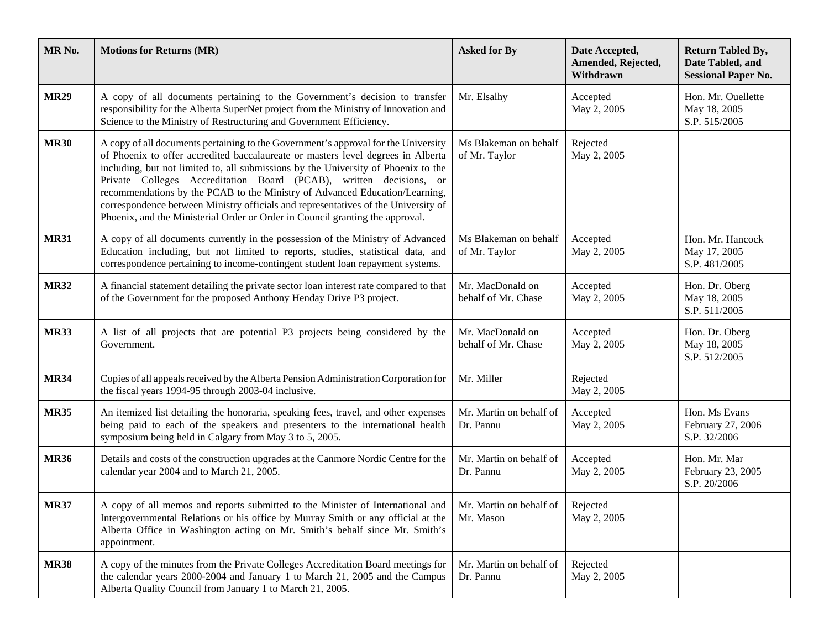| MR <sub>No.</sub> | <b>Motions for Returns (MR)</b>                                                                                                                                                                                                                                                                                                                                                                                                                                                                                                                                                          | <b>Asked for By</b>                     | Date Accepted,<br>Amended, Rejected,<br>Withdrawn | <b>Return Tabled By,</b><br>Date Tabled, and<br><b>Sessional Paper No.</b> |
|-------------------|------------------------------------------------------------------------------------------------------------------------------------------------------------------------------------------------------------------------------------------------------------------------------------------------------------------------------------------------------------------------------------------------------------------------------------------------------------------------------------------------------------------------------------------------------------------------------------------|-----------------------------------------|---------------------------------------------------|----------------------------------------------------------------------------|
| <b>MR29</b>       | A copy of all documents pertaining to the Government's decision to transfer<br>responsibility for the Alberta SuperNet project from the Ministry of Innovation and<br>Science to the Ministry of Restructuring and Government Efficiency.                                                                                                                                                                                                                                                                                                                                                | Mr. Elsalhy                             | Accepted<br>May 2, 2005                           | Hon. Mr. Ouellette<br>May 18, 2005<br>S.P. 515/2005                        |
| <b>MR30</b>       | A copy of all documents pertaining to the Government's approval for the University<br>of Phoenix to offer accredited baccalaureate or masters level degrees in Alberta<br>including, but not limited to, all submissions by the University of Phoenix to the<br>Private Colleges Accreditation Board (PCAB), written decisions, or<br>recommendations by the PCAB to the Ministry of Advanced Education/Learning,<br>correspondence between Ministry officials and representatives of the University of<br>Phoenix, and the Ministerial Order or Order in Council granting the approval. | Ms Blakeman on behalf<br>of Mr. Taylor  | Rejected<br>May 2, 2005                           |                                                                            |
| <b>MR31</b>       | A copy of all documents currently in the possession of the Ministry of Advanced<br>Education including, but not limited to reports, studies, statistical data, and<br>correspondence pertaining to income-contingent student loan repayment systems.                                                                                                                                                                                                                                                                                                                                     | Ms Blakeman on behalf<br>of Mr. Taylor  | Accepted<br>May 2, 2005                           | Hon. Mr. Hancock<br>May 17, 2005<br>S.P. 481/2005                          |
| <b>MR32</b>       | A financial statement detailing the private sector loan interest rate compared to that<br>of the Government for the proposed Anthony Henday Drive P3 project.                                                                                                                                                                                                                                                                                                                                                                                                                            | Mr. MacDonald on<br>behalf of Mr. Chase | Accepted<br>May 2, 2005                           | Hon. Dr. Oberg<br>May 18, 2005<br>S.P. 511/2005                            |
| <b>MR33</b>       | A list of all projects that are potential P3 projects being considered by the<br>Government.                                                                                                                                                                                                                                                                                                                                                                                                                                                                                             | Mr. MacDonald on<br>behalf of Mr. Chase | Accepted<br>May 2, 2005                           | Hon. Dr. Oberg<br>May 18, 2005<br>S.P. 512/2005                            |
| <b>MR34</b>       | Copies of all appeals received by the Alberta Pension Administration Corporation for<br>the fiscal years 1994-95 through 2003-04 inclusive.                                                                                                                                                                                                                                                                                                                                                                                                                                              | Mr. Miller                              | Rejected<br>May 2, 2005                           |                                                                            |
| <b>MR35</b>       | An itemized list detailing the honoraria, speaking fees, travel, and other expenses<br>being paid to each of the speakers and presenters to the international health<br>symposium being held in Calgary from May 3 to 5, 2005.                                                                                                                                                                                                                                                                                                                                                           | Mr. Martin on behalf of<br>Dr. Pannu    | Accepted<br>May 2, 2005                           | Hon. Ms Evans<br>February 27, 2006<br>S.P. 32/2006                         |
| <b>MR36</b>       | Details and costs of the construction upgrades at the Canmore Nordic Centre for the<br>calendar year 2004 and to March 21, 2005.                                                                                                                                                                                                                                                                                                                                                                                                                                                         | Mr. Martin on behalf of<br>Dr. Pannu    | Accepted<br>May 2, 2005                           | Hon. Mr. Mar<br>February 23, 2005<br>S.P. 20/2006                          |
| <b>MR37</b>       | A copy of all memos and reports submitted to the Minister of International and   Mr. Martin on behalf of  <br>Intergovernmental Relations or his office by Murray Smith or any official at the<br>Alberta Office in Washington acting on Mr. Smith's behalf since Mr. Smith's<br>appointment.                                                                                                                                                                                                                                                                                            | Mr. Mason                               | Rejected<br>May 2, 2005                           |                                                                            |
| <b>MR38</b>       | A copy of the minutes from the Private Colleges Accreditation Board meetings for<br>the calendar years 2000-2004 and January 1 to March 21, 2005 and the Campus<br>Alberta Quality Council from January 1 to March 21, 2005.                                                                                                                                                                                                                                                                                                                                                             | Mr. Martin on behalf of<br>Dr. Pannu    | Rejected<br>May 2, 2005                           |                                                                            |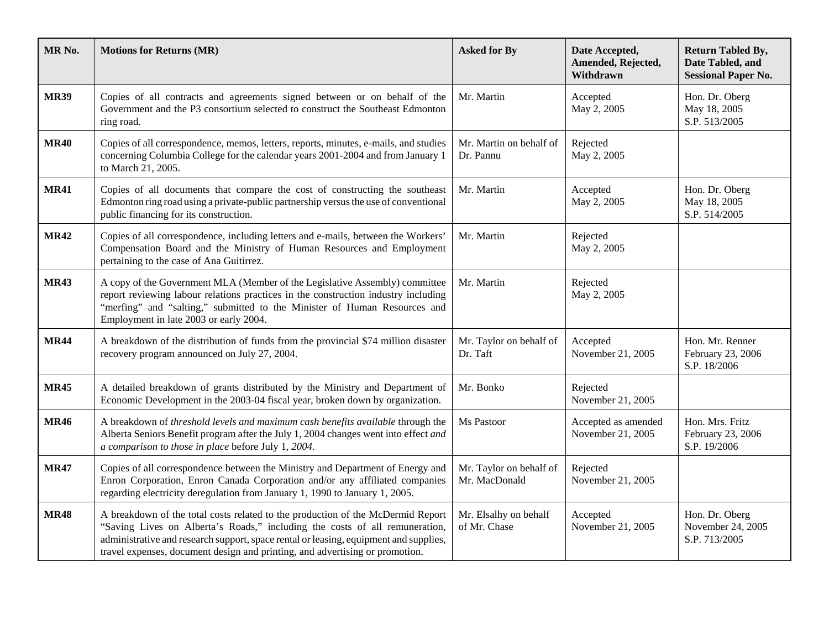| MR <sub>No.</sub> | <b>Motions for Returns (MR)</b>                                                                                                                                                                                                                                                                                                         | <b>Asked for By</b>                      | Date Accepted,<br>Amended, Rejected,<br>Withdrawn | <b>Return Tabled By,</b><br>Date Tabled, and<br><b>Sessional Paper No.</b> |
|-------------------|-----------------------------------------------------------------------------------------------------------------------------------------------------------------------------------------------------------------------------------------------------------------------------------------------------------------------------------------|------------------------------------------|---------------------------------------------------|----------------------------------------------------------------------------|
| <b>MR39</b>       | Copies of all contracts and agreements signed between or on behalf of the<br>Government and the P3 consortium selected to construct the Southeast Edmonton<br>ring road.                                                                                                                                                                | Mr. Martin                               | Accepted<br>May 2, 2005                           | Hon. Dr. Oberg<br>May 18, 2005<br>S.P. 513/2005                            |
| <b>MR40</b>       | Copies of all correspondence, memos, letters, reports, minutes, e-mails, and studies<br>concerning Columbia College for the calendar years 2001-2004 and from January 1<br>to March 21, 2005.                                                                                                                                           | Mr. Martin on behalf of<br>Dr. Pannu     | Rejected<br>May 2, 2005                           |                                                                            |
| <b>MR41</b>       | Copies of all documents that compare the cost of constructing the southeast<br>Edmonton ring road using a private-public partnership versus the use of conventional<br>public financing for its construction.                                                                                                                           | Mr. Martin                               | Accepted<br>May 2, 2005                           | Hon. Dr. Oberg<br>May 18, 2005<br>S.P. 514/2005                            |
| <b>MR42</b>       | Copies of all correspondence, including letters and e-mails, between the Workers'<br>Compensation Board and the Ministry of Human Resources and Employment<br>pertaining to the case of Ana Guitirrez.                                                                                                                                  | Mr. Martin                               | Rejected<br>May 2, 2005                           |                                                                            |
| <b>MR43</b>       | A copy of the Government MLA (Member of the Legislative Assembly) committee<br>report reviewing labour relations practices in the construction industry including<br>"merfing" and "salting," submitted to the Minister of Human Resources and<br>Employment in late 2003 or early 2004.                                                | Mr. Martin                               | Rejected<br>May 2, 2005                           |                                                                            |
| <b>MR44</b>       | A breakdown of the distribution of funds from the provincial \$74 million disaster<br>recovery program announced on July 27, 2004.                                                                                                                                                                                                      | Mr. Taylor on behalf of<br>Dr. Taft      | Accepted<br>November 21, 2005                     | Hon. Mr. Renner<br>February 23, 2006<br>S.P. 18/2006                       |
| <b>MR45</b>       | A detailed breakdown of grants distributed by the Ministry and Department of<br>Economic Development in the 2003-04 fiscal year, broken down by organization.                                                                                                                                                                           | Mr. Bonko                                | Rejected<br>November 21, 2005                     |                                                                            |
| <b>MR46</b>       | A breakdown of threshold levels and maximum cash benefits available through the<br>Alberta Seniors Benefit program after the July 1, 2004 changes went into effect and<br>a comparison to those in place before July 1, 2004.                                                                                                           | Ms Pastoor                               | Accepted as amended<br>November 21, 2005          | Hon. Mrs. Fritz<br>February 23, 2006<br>S.P. 19/2006                       |
| <b>MR47</b>       | Copies of all correspondence between the Ministry and Department of Energy and<br>Enron Corporation, Enron Canada Corporation and/or any affiliated companies<br>regarding electricity deregulation from January 1, 1990 to January 1, 2005.                                                                                            | Mr. Taylor on behalf of<br>Mr. MacDonald | Rejected<br>November 21, 2005                     |                                                                            |
| <b>MR48</b>       | A breakdown of the total costs related to the production of the McDermid Report<br>"Saving Lives on Alberta's Roads," including the costs of all remuneration,<br>administrative and research support, space rental or leasing, equipment and supplies,<br>travel expenses, document design and printing, and advertising or promotion. | Mr. Elsalhy on behalf<br>of Mr. Chase    | Accepted<br>November 21, 2005                     | Hon. Dr. Oberg<br>November 24, 2005<br>S.P. 713/2005                       |